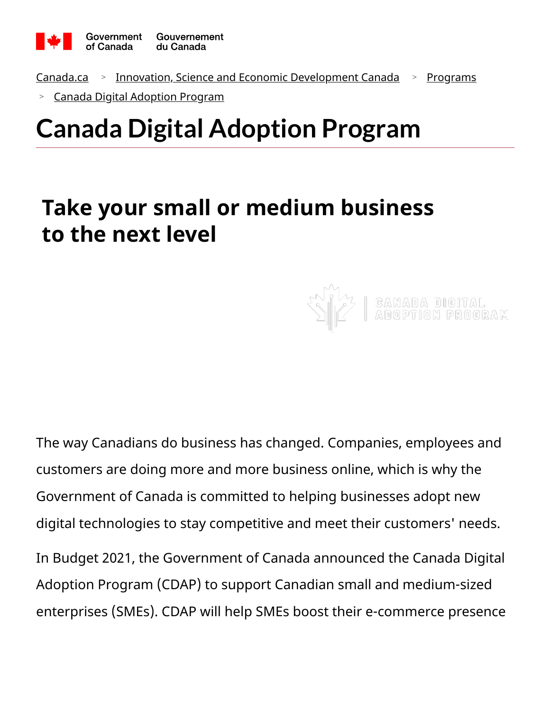

<u>[Canada.ca](https://www.canada.ca/en.html) > [Innovation, Science and Economic Development Canada](https://www.ic.gc.ca/eic/site/icgc.nsf/eng/home) > [Programs](https://www.ic.gc.ca/eic/site/icgc.nsf/eng/h_07654.html)</u>

[Canada Digital Adoption Program](https://www.ic.gc.ca/eic/site/152.nsf/eng/home) >

# **Canada Digital Adoption Program**

## **Take your small or medium business to the next level**

The way Canadians do business has changed. Companies, employees and customers are doing more and more business online, which is why the Government of Canada is committed to helping businesses adopt new digital technologies to stay competitive and meet their customers' needs. In Budget 2021, the Government of Canada announced the Canada Digital Adoption Program (CDAP) to support Canadian small and medium-sized enterprises (SMEs). CDAP will help SMEs boost their e-commerce presence

**GANADA DIGITAL**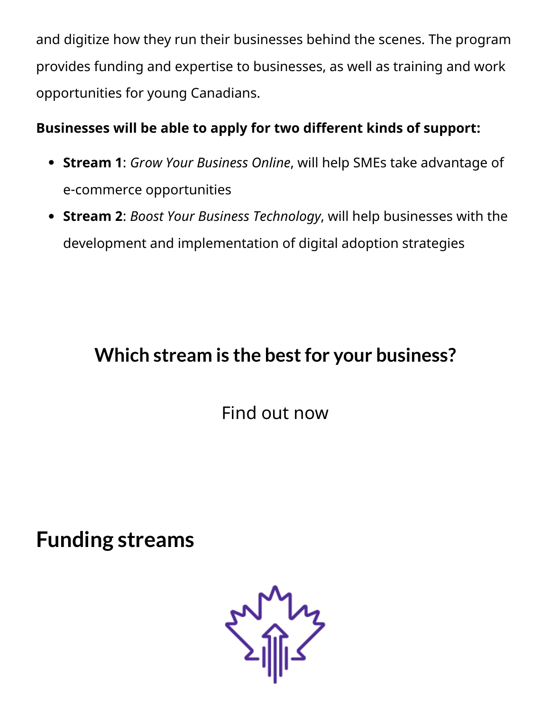and digitize how they run their businesses behind the scenes. The program provides funding and expertise to businesses, as well as training and work opportunities for young Canadians.

#### **Businesses will be able to apply for two different kinds of support:**

- **Stream 1**: *Grow Your Business Online*, will help SMEs take advantage of e-commerce opportunities
- **Stream 2**: *Boost Your Business Technology*, will help businesses with the development and implementation of digital adoption strategies

### **Which stream is the bestfor your business?**

[Find out now](https://www.ic.gc.ca/eic/site/152.nsf/eng/00012.html)

**Funding streams**

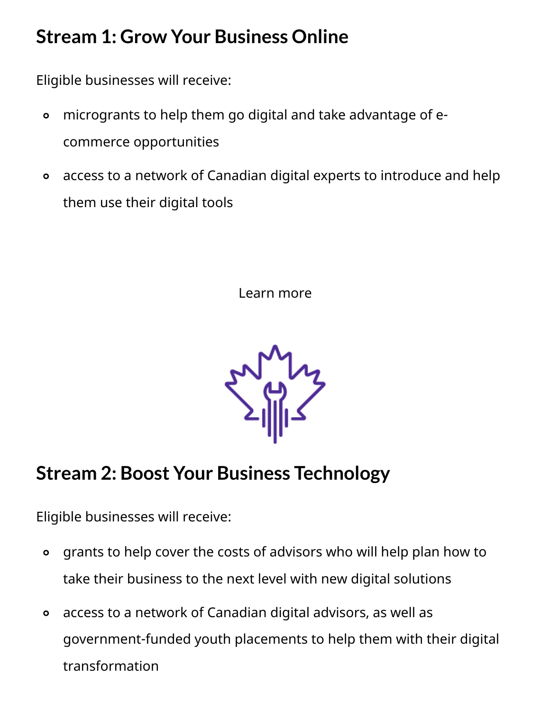#### **Stream 1: Grow Your Business Online**

Eligible businesses will receive:

- microgrants to help them go digital and take advantage of ecommerce opportunities  $\bullet$
- access to a network of Canadian digital experts to introduce and help them use their digital tools  $\bullet$

[Learn more](https://www.ic.gc.ca/eic/site/152.nsf/eng/00011.html)



### **Stream 2: Boost Your Business Technology**

Eligible businesses will receive:

- grants to help cover the costs of advisors who will help plan how to take their business to the next level with new digital solutions  $\bullet$
- access to a network of Canadian digital advisors, as well as government-funded youth placements to help them with their digital transformation  $\bullet$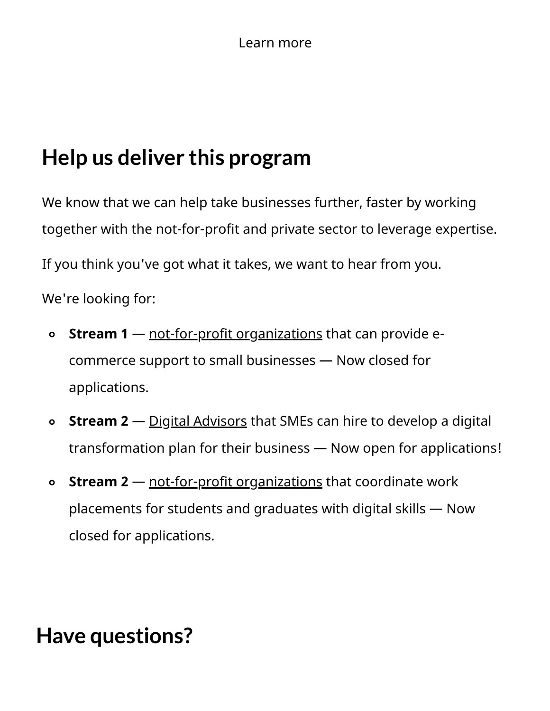## **Help us deliver this program**

We know that we can help take businesses further, faster by working together with the not-for-profit and private sector to leverage expertise.

If you think you've got what it takes, we want to hear from you.

We're looking for:

- **Stream 1** [not-for-profit organizations](https://www.ic.gc.ca/eic/site/152.nsf/eng/00015.html) that can provide ecommerce support to small businesses — Now closed for applications.  $\bullet$
- **Stream 2** <u>Digital Advisors</u> that SMEs can hire to develop a digital transformation plan for their business — Now open for applications!  $\bullet$
- **Stream 2** [not-for-profit organizations](https://www.ic.gc.ca/eic/site/152.nsf/eng/00019.html) that coordinate work placements for students and graduates with digital skills — Now closed for applications.  $\bullet$

### **Have questions?**